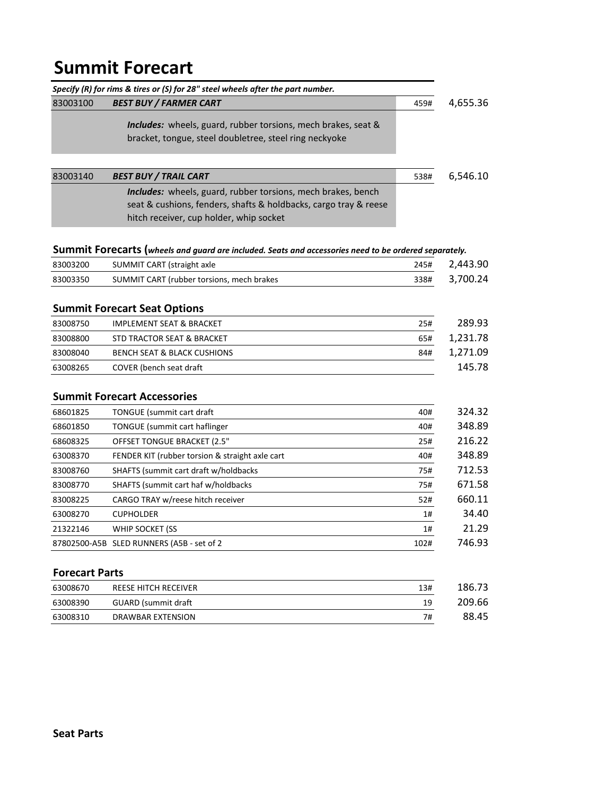# **Summit Forecart**

|                       | Specify (R) for rims & tires or (S) for 28" steel wheels after the part number.                       |      |          |
|-----------------------|-------------------------------------------------------------------------------------------------------|------|----------|
| 83003100              | <b>BEST BUY / FARMER CART</b>                                                                         | 459# | 4,655.36 |
|                       | <i>Includes:</i> wheels, guard, rubber torsions, mech brakes, seat &                                  |      |          |
|                       | bracket, tongue, steel doubletree, steel ring neckyoke                                                |      |          |
|                       |                                                                                                       |      |          |
| 83003140              | <b>BEST BUY / TRAIL CART</b>                                                                          | 538# | 6,546.10 |
|                       | Includes: wheels, guard, rubber torsions, mech brakes, bench                                          |      |          |
|                       | seat & cushions, fenders, shafts & holdbacks, cargo tray & reese                                      |      |          |
|                       | hitch receiver, cup holder, whip socket                                                               |      |          |
|                       | Summit Forecarts (wheels and guard are included. Seats and accessories need to be ordered separately. |      |          |
| 83003200              | SUMMIT CART (straight axle                                                                            | 245# | 2,443.90 |
| 83003350              | SUMMIT CART (rubber torsions, mech brakes                                                             | 338# | 3,700.24 |
|                       | <b>Summit Forecart Seat Options</b>                                                                   |      |          |
| 83008750              | <b>IMPLEMENT SEAT &amp; BRACKET</b>                                                                   | 25#  | 289.93   |
| 83008800              | STD TRACTOR SEAT & BRACKET                                                                            | 65#  | 1,231.78 |
| 83008040              | <b>BENCH SEAT &amp; BLACK CUSHIONS</b>                                                                | 84#  | 1,271.09 |
| 63008265              | COVER (bench seat draft                                                                               |      | 145.78   |
|                       | <b>Summit Forecart Accessories</b>                                                                    |      |          |
| 68601825              | TONGUE (summit cart draft                                                                             | 40#  | 324.32   |
| 68601850              | TONGUE (summit cart haflinger                                                                         | 40#  | 348.89   |
| 68608325              | <b>OFFSET TONGUE BRACKET (2.5"</b>                                                                    | 25#  | 216.22   |
| 63008370              | FENDER KIT (rubber torsion & straight axle cart                                                       | 40#  | 348.89   |
| 83008760              | SHAFTS (summit cart draft w/holdbacks                                                                 | 75#  | 712.53   |
| 83008770              | SHAFTS (summit cart haf w/holdbacks                                                                   | 75#  | 671.58   |
| 83008225              | CARGO TRAY w/reese hitch receiver                                                                     | 52#  | 660.11   |
| 63008270              | <b>CUPHOLDER</b>                                                                                      | 1#   | 34.40    |
| 21322146              | WHIP SOCKET (SS                                                                                       | 1#   | 21.29    |
|                       | 87802500-A5B SLED RUNNERS (A5B - set of 2                                                             | 102# | 746.93   |
| <b>Forecart Parts</b> |                                                                                                       |      |          |
| 63008670              | REESE HITCH RECEIVER                                                                                  | 13#  | 186.73   |
| 63008390              | <b>GUARD</b> (summit draft                                                                            | 19   | 209.66   |

63008310 DRAWBAR EXTENSION **1988**.45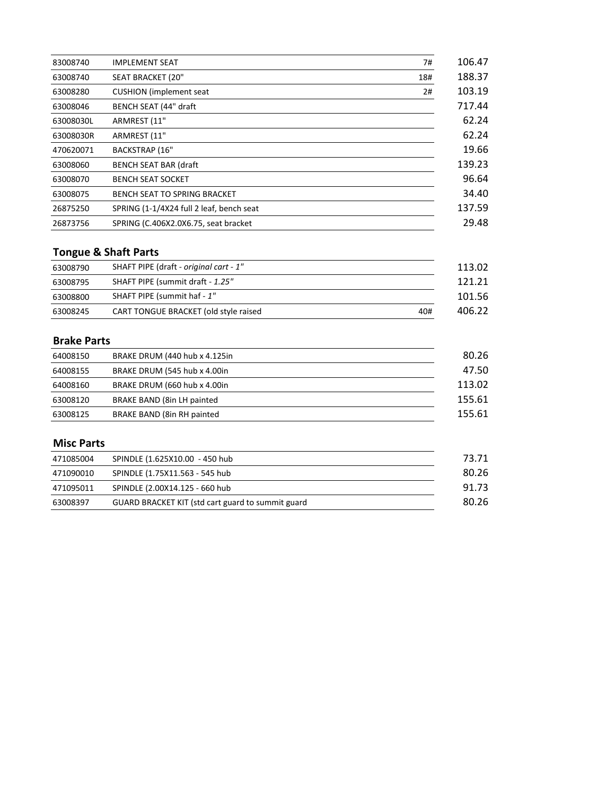| 83008740  | <b>IMPLEMENT SEAT</b>                    | 7#  | 106.47 |
|-----------|------------------------------------------|-----|--------|
| 63008740  | SEAT BRACKET (20"                        | 18# | 188.37 |
| 63008280  | <b>CUSHION</b> (implement seat)          | 2#  | 103.19 |
| 63008046  | BENCH SEAT (44" draft                    |     | 717.44 |
| 63008030L | ARMREST (11"                             |     | 62.24  |
| 63008030R | ARMREST (11"                             |     | 62.24  |
| 470620071 | <b>BACKSTRAP (16"</b>                    |     | 19.66  |
| 63008060  | <b>BENCH SEAT BAR (draft</b>             |     | 139.23 |
| 63008070  | <b>BENCH SEAT SOCKET</b>                 |     | 96.64  |
| 63008075  | BENCH SEAT TO SPRING BRACKET             |     | 34.40  |
| 26875250  | SPRING (1-1/4X24 full 2 leaf, bench seat |     | 137.59 |
| 26873756  | SPRING (C.406X2.0X6.75, seat bracket     |     | 29.48  |

# **Tongue & Shaft Parts**

| 63008790 | SHAFT PIPE (draft - original cart - 1" |     | 113.02 |
|----------|----------------------------------------|-----|--------|
| 63008795 | SHAFT PIPE (summit draft - 1.25"       |     | 121.21 |
| 63008800 | SHAFT PIPE (summit haf - 1"            |     | 101.56 |
| 63008245 | CART TONGUE BRACKET (old style raised  | 40# | 406.22 |

## **Brake Parts**

| 64008150 | BRAKE DRUM (440 hub x 4.125in | 80.26  |
|----------|-------------------------------|--------|
| 64008155 | BRAKE DRUM (545 hub x 4.00in  | 47.50  |
| 64008160 | BRAKE DRUM (660 hub x 4.00in  | 113.02 |
| 63008120 | BRAKE BAND (8in LH painted    | 155.61 |
| 63008125 | BRAKE BAND (8in RH painted    | 155.61 |

#### **Misc Parts**

| 471085004 | SPINDLE (1.625X10.00 - 450 hub                    | 73.71  |
|-----------|---------------------------------------------------|--------|
| 471090010 | SPINDLE (1.75X11.563 - 545 hub                    | -80.26 |
| 471095011 | SPINDLE (2.00X14.125 - 660 hub                    | 91.73  |
| 63008397  | GUARD BRACKET KIT (std cart guard to summit guard | 80.26  |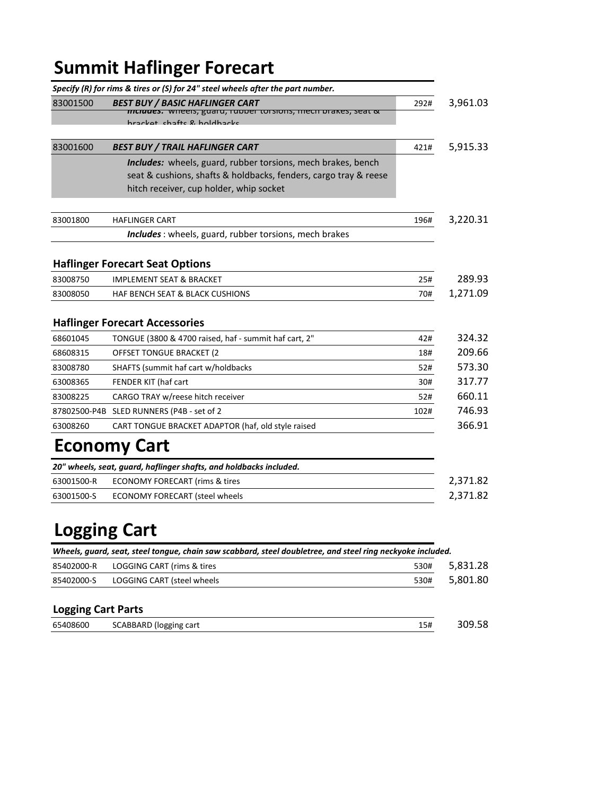# **Summit Haflinger Forecart**

|            | Specify (R) for rims & tires or (S) for 24" steel wheels after the part number.                                                                                                    |      |          |
|------------|------------------------------------------------------------------------------------------------------------------------------------------------------------------------------------|------|----------|
| 83001500   | <b>BEST BUY / BASIC HAFLINGER CART</b><br>$\pi$ רומים (איזופפוז, guaru, rupper torsions, mech brakes, seat $\alpha$<br>hracket shafts & holdbacks                                  | 292# | 3,961.03 |
| 83001600   | <b>BEST BUY / TRAIL HAFLINGER CART</b>                                                                                                                                             | 421# | 5,915.33 |
|            | <b>Includes:</b> wheels, guard, rubber torsions, mech brakes, bench<br>seat & cushions, shafts & holdbacks, fenders, cargo tray & reese<br>hitch receiver, cup holder, whip socket |      |          |
| 83001800   | <b>HAFLINGER CART</b>                                                                                                                                                              | 196# | 3,220.31 |
|            | <b>Includes</b> : wheels, guard, rubber torsions, mech brakes                                                                                                                      |      |          |
|            | <b>Haflinger Forecart Seat Options</b>                                                                                                                                             |      |          |
| 83008750   | <b>IMPLEMENT SEAT &amp; BRACKET</b>                                                                                                                                                | 25#  | 289.93   |
| 83008050   | <b>HAF BENCH SEAT &amp; BLACK CUSHIONS</b>                                                                                                                                         | 70#  | 1,271.09 |
|            | <b>Haflinger Forecart Accessories</b>                                                                                                                                              |      |          |
| 68601045   | TONGUE (3800 & 4700 raised, haf - summit haf cart, 2"                                                                                                                              | 42#  | 324.32   |
| 68608315   | <b>OFFSET TONGUE BRACKET (2)</b>                                                                                                                                                   | 18#  | 209.66   |
| 83008780   | SHAFTS (summit haf cart w/holdbacks                                                                                                                                                | 52#  | 573.30   |
| 63008365   | FENDER KIT (haf cart                                                                                                                                                               | 30#  | 317.77   |
| 83008225   | CARGO TRAY w/reese hitch receiver                                                                                                                                                  | 52#  | 660.11   |
|            | 87802500-P4B SLED RUNNERS (P4B - set of 2                                                                                                                                          | 102# | 746.93   |
| 63008260   | CART TONGUE BRACKET ADAPTOR (haf, old style raised                                                                                                                                 |      | 366.91   |
|            | <b>Economy Cart</b>                                                                                                                                                                |      |          |
|            | 20" wheels, seat, guard, haflinger shafts, and holdbacks included.                                                                                                                 |      |          |
| 63001500-R | <b>ECONOMY FORECART (rims &amp; tires</b>                                                                                                                                          |      | 2,371.82 |
| 63001500-S | <b>ECONOMY FORECART (steel wheels</b>                                                                                                                                              |      | 2,371.82 |

# **Logging Cart**

| Wheels, quard, seat, steel tongue, chain saw scabbard, steel doubletree, and steel ring neckyoke included. |                            |      |          |
|------------------------------------------------------------------------------------------------------------|----------------------------|------|----------|
| 85402000-R                                                                                                 | LOGGING CART (rims & tires | 530# | 5,831.28 |
| 85402000-S                                                                                                 | LOGGING CART (steel wheels | 530# | 5,801.80 |
| <b>Logging Cart Parts</b>                                                                                  |                            |      |          |

| 65408600 | logging cart) ا<br>SCABBARD | 15# | סא מחכ<br>אכ. |
|----------|-----------------------------|-----|---------------|
|          |                             |     |               |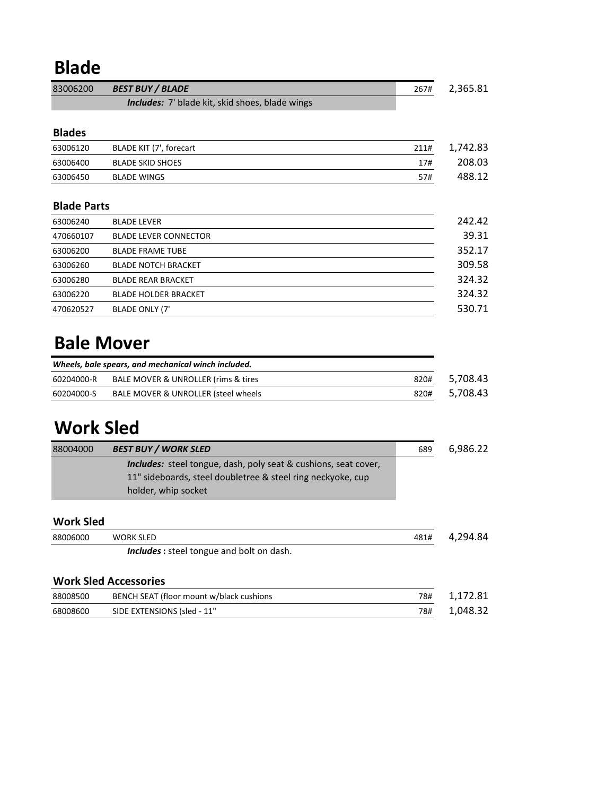# **Blade**

| 83006200           | <b>BEST BUY / BLADE</b>                                                                                                                               | 267# |
|--------------------|-------------------------------------------------------------------------------------------------------------------------------------------------------|------|
|                    | Includes: 7' blade kit, skid shoes, blade wings                                                                                                       |      |
|                    |                                                                                                                                                       |      |
| <b>Blades</b>      |                                                                                                                                                       |      |
| 63006120           | BLADE KIT (7', forecart                                                                                                                               | 211# |
| 63006400           | <b>BLADE SKID SHOES</b>                                                                                                                               | 17#  |
| 63006450           | <b>BLADE WINGS</b>                                                                                                                                    | 57#  |
| <b>Blade Parts</b> |                                                                                                                                                       |      |
| 63006240           | <b>BLADE LEVER</b>                                                                                                                                    |      |
| 470660107          | <b>BLADE LEVER CONNECTOR</b>                                                                                                                          |      |
| 63006200           | <b>BLADE FRAME TUBE</b>                                                                                                                               |      |
| 63006260           | <b>BLADE NOTCH BRACKET</b>                                                                                                                            |      |
| 63006280           | <b>BLADE REAR BRACKET</b>                                                                                                                             |      |
| 63006220           | <b>BLADE HOLDER BRACKET</b>                                                                                                                           |      |
| 470620527          | <b>BLADE ONLY (7'</b>                                                                                                                                 |      |
|                    | Wheels, bale spears, and mechanical winch included.                                                                                                   |      |
| 60204000-R         | BALE MOVER & UNROLLER (rims & tires                                                                                                                   | 820# |
| 60204000-S         | BALE MOVER & UNROLLER (steel wheels                                                                                                                   | 820# |
| <b>Work Sled</b>   |                                                                                                                                                       |      |
| 88004000           | <b>BEST BUY / WORK SLED</b>                                                                                                                           | 689  |
|                    | Includes: steel tongue, dash, poly seat & cushions, seat cover,<br>11" sideboards, steel doubletree & steel ring neckyoke, cup<br>holder, whip socket |      |
| <b>Work Sled</b>   |                                                                                                                                                       |      |
| 88006000           | <b>WORK SLED</b>                                                                                                                                      | 481# |
|                    | Includes : steel tongue and bolt on dash.                                                                                                             |      |
|                    | <b>Work Sled Accessories</b>                                                                                                                          |      |
| 88008500           | BENCH SEAT (floor mount w/black cushions                                                                                                              | 78#  |
| 68008600           | SIDE EXTENSIONS (sled - 11"                                                                                                                           | 78#  |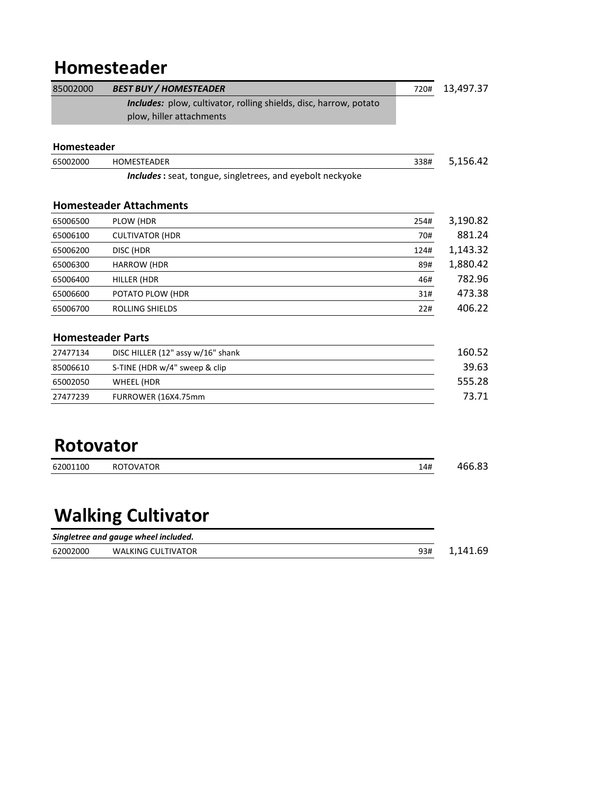# **Homesteader**

| 85002000         | <b>BEST BUY / HOMESTEADER</b>                                     | 720# | 13,497.37 |
|------------------|-------------------------------------------------------------------|------|-----------|
|                  | Includes: plow, cultivator, rolling shields, disc, harrow, potato |      |           |
|                  | plow, hiller attachments                                          |      |           |
| Homesteader      |                                                                   |      |           |
| 65002000         | HOMESTEADER                                                       | 338# | 5,156.42  |
|                  | Includes: seat, tongue, singletrees, and eyebolt neckyoke         |      |           |
|                  | <b>Homesteader Attachments</b>                                    |      |           |
| 65006500         | PLOW (HDR                                                         | 254# | 3,190.82  |
| 65006100         | <b>CULTIVATOR (HDR</b>                                            | 70#  | 881.24    |
| 65006200         | DISC (HDR                                                         | 124# | 1,143.32  |
| 65006300         | <b>HARROW (HDR</b>                                                | 89#  | 1,880.42  |
| 65006400         | HILLER (HDR                                                       | 46#  | 782.96    |
| 65006600         | POTATO PLOW (HDR                                                  | 31#  | 473.38    |
| 65006700         | <b>ROLLING SHIELDS</b>                                            | 22#  | 406.22    |
|                  | <b>Homesteader Parts</b>                                          |      |           |
| 27477134         | DISC HILLER (12" assy w/16" shank                                 |      | 160.52    |
| 85006610         | S-TINE (HDR w/4" sweep & clip                                     |      | 39.63     |
| 65002050         | <b>WHEEL (HDR</b>                                                 |      | 555.28    |
| 27477239         | FURROWER (16X4.75mm                                               |      | 73.71     |
|                  |                                                                   |      |           |
| <b>Rotovator</b> |                                                                   |      |           |
| 62001100         | <b>ROTOVATOR</b>                                                  | 14#  | 466.83    |

# **Walking Cultivator**

|          | Singletree and gauge wheel included. |              |
|----------|--------------------------------------|--------------|
| 62002000 | <b>WALKING CULTIVATOR</b>            | 93# 1.141.69 |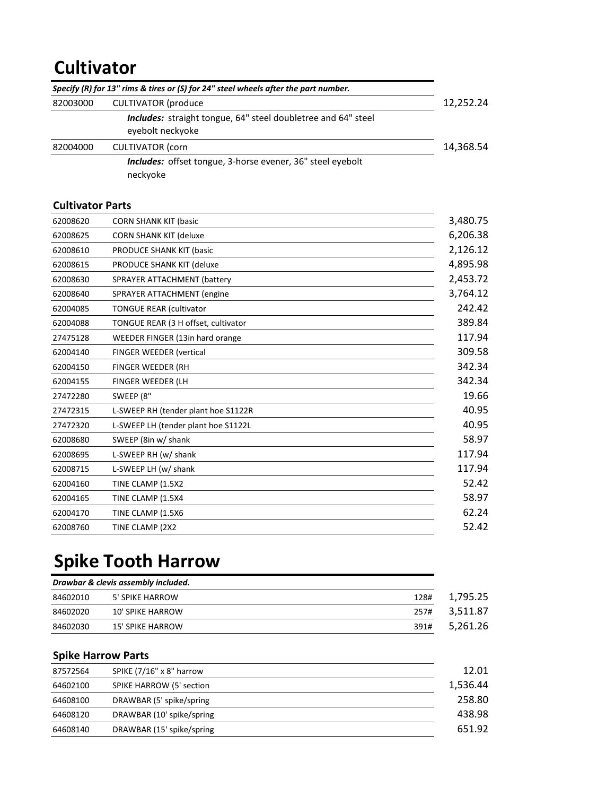# **Cultivator**

|          | Specify (R) for 13" rims & tires or (S) for 24" steel wheels after the part number.      |           |
|----------|------------------------------------------------------------------------------------------|-----------|
| 82003000 | <b>CULTIVATOR (produce)</b>                                                              | 12,252.24 |
|          | <b>Includes:</b> straight tongue, 64" steel doubletree and 64" steel<br>eyebolt neckyoke |           |
| 82004000 | <b>CULTIVATOR</b> (corn                                                                  | 14.368.54 |
|          | <i>Includes:</i> offset tongue, 3-horse evener, 36" steel evebolt<br>neckyoke            |           |

#### **Cultivator Parts**

| 62008620 | <b>CORN SHANK KIT (basic</b>        | 3,480.75 |
|----------|-------------------------------------|----------|
| 62008625 | <b>CORN SHANK KIT (deluxe</b>       | 6,206.38 |
| 62008610 | PRODUCE SHANK KIT (basic            | 2,126.12 |
| 62008615 | PRODUCE SHANK KIT (deluxe           | 4,895.98 |
| 62008630 | <b>SPRAYER ATTACHMENT (battery</b>  | 2,453.72 |
| 62008640 | <b>SPRAYER ATTACHMENT (engine</b>   | 3,764.12 |
| 62004085 | <b>TONGUE REAR (cultivator</b>      | 242.42   |
| 62004088 | TONGUE REAR (3 H offset, cultivator | 389.84   |
| 27475128 | WEEDER FINGER (13in hard orange     | 117.94   |
| 62004140 | <b>FINGER WEEDER (vertical</b>      | 309.58   |
| 62004150 | <b>FINGER WEEDER (RH</b>            | 342.34   |
| 62004155 | FINGER WEEDER (LH                   | 342.34   |
| 27472280 | SWEEP (8"                           | 19.66    |
| 27472315 | L-SWEEP RH (tender plant hoe S1122R | 40.95    |
| 27472320 | L-SWEEP LH (tender plant hoe S1122L | 40.95    |
| 62008680 | SWEEP (8in w/ shank                 | 58.97    |
| 62008695 | L-SWEEP RH (w/ shank                | 117.94   |
| 62008715 | L-SWEEP LH (w/ shank                | 117.94   |
| 62004160 | TINE CLAMP (1.5X2                   | 52.42    |
| 62004165 | TINE CLAMP (1.5X4                   | 58.97    |
| 62004170 | TINE CLAMP (1.5X6                   | 62.24    |
| 62008760 | TINE CLAMP (2X2                     | 52.42    |

# **Spike Tooth Harrow**

| Drawbar & clevis assembly included. |                         |      |          |
|-------------------------------------|-------------------------|------|----------|
| 84602010                            | 5' SPIKE HARROW         | 128# | 1.795.25 |
| 84602020                            | 10' SPIKE HARROW        | 257# | 3.511.87 |
| 84602030                            | <b>15' SPIKE HARROW</b> | 391# | 5.261.26 |

### **Spike Harrow Parts**

| 87572564 | SPIKE (7/16" x 8" harrow  | 12.01    |
|----------|---------------------------|----------|
| 64602100 | SPIKE HARROW (5' section  | 1.536.44 |
| 64608100 | DRAWBAR (5' spike/spring  | 258.80   |
| 64608120 | DRAWBAR (10' spike/spring | 438.98   |
| 64608140 | DRAWBAR (15' spike/spring | 651.92   |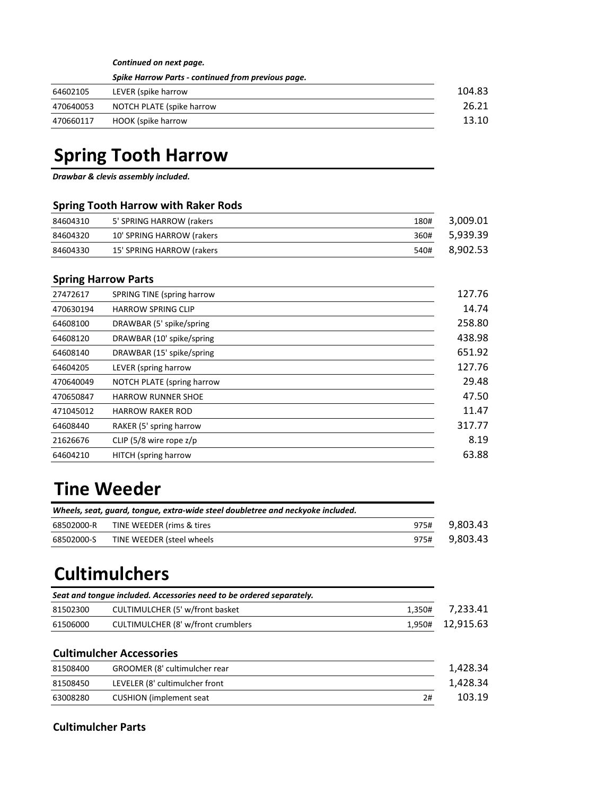*Continued on next page.*

|           | Spike Harrow Parts - continued from previous page. |        |
|-----------|----------------------------------------------------|--------|
| 64602105  | LEVER (spike harrow                                | 104.83 |
| 470640053 | NOTCH PLATE (spike harrow                          | 26.21  |
| 470660117 | HOOK (spike harrow                                 | 13.10  |

# **Spring Tooth Harrow**

*Drawbar & clevis assembly included.*

#### **Spring Tooth Harrow with Raker Rods**

| 84604310 | 5' SPRING HARROW (rakers  | 180# | 3.009.01 |
|----------|---------------------------|------|----------|
| 84604320 | 10' SPRING HARROW (rakers | 360# | 5.939.39 |
| 84604330 | 15' SPRING HARROW (rakers | 540# | 8.902.53 |

### **Spring Harrow Parts**

| 27472617  | SPRING TINE (spring harrow  | 127.76 |
|-----------|-----------------------------|--------|
| 470630194 | <b>HARROW SPRING CLIP</b>   | 14.74  |
| 64608100  | DRAWBAR (5' spike/spring    | 258.80 |
| 64608120  | DRAWBAR (10' spike/spring   | 438.98 |
| 64608140  | DRAWBAR (15' spike/spring   | 651.92 |
| 64604205  | LEVER (spring harrow        | 127.76 |
| 470640049 | NOTCH PLATE (spring harrow  | 29.48  |
| 470650847 | <b>HARROW RUNNER SHOE</b>   | 47.50  |
| 471045012 | <b>HARROW RAKER ROD</b>     | 11.47  |
| 64608440  | RAKER (5' spring harrow     | 317.77 |
| 21626676  | CLIP (5/8 wire rope $z/p$   | 8.19   |
| 64604210  | <b>HITCH</b> (spring harrow | 63.88  |

# **Tine Weeder**

| Wheels, seat, quard, tongue, extra-wide steel doubletree and neckyoke included. |                           |  |               |
|---------------------------------------------------------------------------------|---------------------------|--|---------------|
| 68502000-R                                                                      | TINE WEEDER (rims & tires |  | 975# 9.803.43 |
| 68502000-S                                                                      | TINE WEEDER (steel wheels |  | 975# 9,803.43 |

# **Cultimulchers**

| Seat and tongue included. Accessories need to be ordered separately. |                                    |        |                  |
|----------------------------------------------------------------------|------------------------------------|--------|------------------|
| 81502300                                                             | CULTIMULCHER (5' w/front basket    | 1.350# | 7,233.41         |
| 61506000                                                             | CULTIMULCHER (8' w/front crumblers |        | 1,950# 12,915.63 |

#### **Cultimulcher Accessories**

| 81508400 | GROOMER (8' cultimulcher rear  | 1.428.34 |
|----------|--------------------------------|----------|
| 81508450 | LEVELER (8' cultimulcher front | 1,428.34 |
| 63008280 | CUSHION (implement seat<br>2#  | 103.19   |

### **Cultimulcher Parts**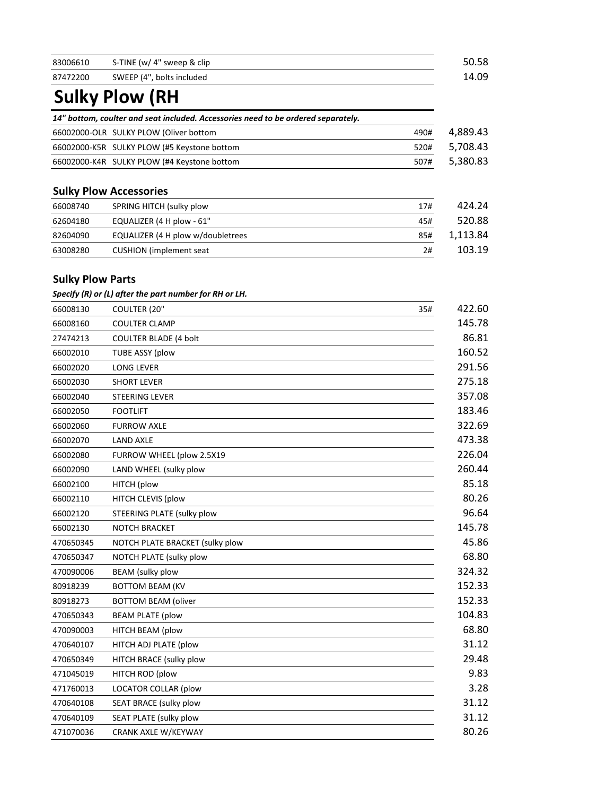| 83006610 | S-TINE (w/ 4" sweep & clip | 50.58 |
|----------|----------------------------|-------|
| 87472200 | SWEEP (4", bolts included  | 14.09 |

# **Sulky Plow (RH**

| 14" bottom, coulter and seat included. Accessories need to be ordered separately. |                  |
|-----------------------------------------------------------------------------------|------------------|
| 66002000-OLR SULKY PLOW (Oliver bottom                                            | 4,889.43<br>490# |
| 66002000-K5R SULKY PLOW (#5 Keystone bottom                                       | 5,708.43<br>520# |
| 66002000-K4R SULKY PLOW (#4 Keystone bottom                                       | 5,380.83<br>507# |

# **Sulky Plow Accessories**

| 66008740 | SPRING HITCH (sulky plow          | 17# | 424.24   |
|----------|-----------------------------------|-----|----------|
| 62604180 | EQUALIZER $(4 H$ plow - $61"$     | 45# | 520.88   |
| 82604090 | EQUALIZER (4 H plow w/doubletrees | 85# | 1.113.84 |
| 63008280 | <b>CUSHION</b> (implement seat    | 2#  | 103.19   |

## **Sulky Plow Parts**

*Specify (R) or (L) after the part number for RH or LH.*

| 66008130  | COULTER (20"<br>35#             | 422.60 |
|-----------|---------------------------------|--------|
| 66008160  | <b>COULTER CLAMP</b>            | 145.78 |
| 27474213  | <b>COULTER BLADE (4 bolt</b>    | 86.81  |
| 66002010  | <b>TUBE ASSY (plow</b>          | 160.52 |
| 66002020  | <b>LONG LEVER</b>               | 291.56 |
| 66002030  | <b>SHORT LEVER</b>              | 275.18 |
| 66002040  | STEERING LEVER                  | 357.08 |
| 66002050  | <b>FOOTLIFT</b>                 | 183.46 |
| 66002060  | <b>FURROW AXLE</b>              | 322.69 |
| 66002070  | <b>LAND AXLE</b>                | 473.38 |
| 66002080  | FURROW WHEEL (plow 2.5X19       | 226.04 |
| 66002090  | LAND WHEEL (sulky plow          | 260.44 |
| 66002100  | HITCH (plow                     | 85.18  |
| 66002110  | HITCH CLEVIS (plow              | 80.26  |
| 66002120  | STEERING PLATE (sulky plow      | 96.64  |
| 66002130  | <b>NOTCH BRACKET</b>            | 145.78 |
| 470650345 | NOTCH PLATE BRACKET (sulky plow | 45.86  |
| 470650347 | NOTCH PLATE (sulky plow         | 68.80  |
| 470090006 | <b>BEAM</b> (sulky plow         | 324.32 |
| 80918239  | <b>BOTTOM BEAM (KV</b>          | 152.33 |
| 80918273  | <b>BOTTOM BEAM (oliver</b>      | 152.33 |
| 470650343 | <b>BEAM PLATE (plow</b>         | 104.83 |
| 470090003 | HITCH BEAM (plow                | 68.80  |
| 470640107 | HITCH ADJ PLATE (plow           | 31.12  |
| 470650349 | HITCH BRACE (sulky plow         | 29.48  |
| 471045019 | HITCH ROD (plow                 | 9.83   |
| 471760013 | <b>LOCATOR COLLAR (plow</b>     | 3.28   |
| 470640108 | SEAT BRACE (sulky plow          | 31.12  |
| 470640109 | SEAT PLATE (sulky plow          | 31.12  |
| 471070036 | CRANK AXLE W/KEYWAY             | 80.26  |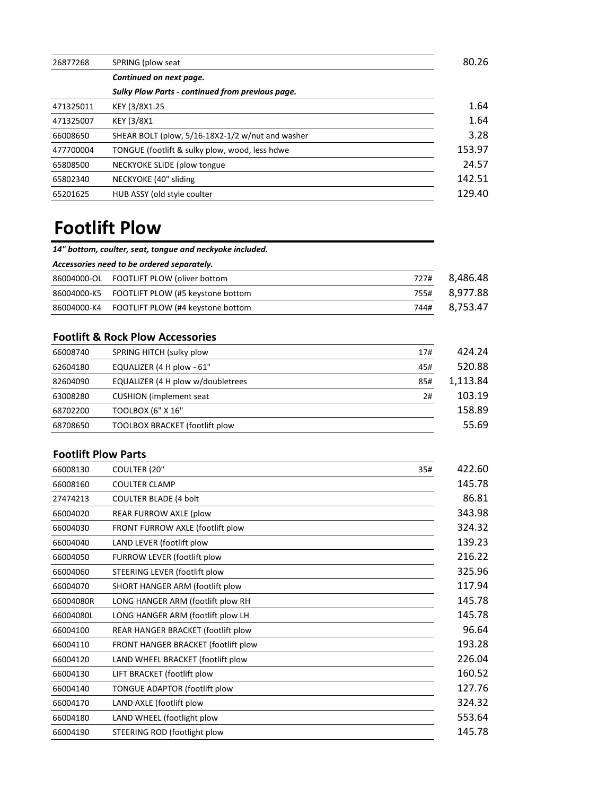| 26877268  | SPRING (plow seat                                | 80.26  |
|-----------|--------------------------------------------------|--------|
|           | Continued on next page.                          |        |
|           | Sulky Plow Parts - continued from previous page. |        |
| 471325011 | KEY (3/8X1.25                                    | 1.64   |
| 471325007 | <b>KEY (3/8X1)</b>                               | 1.64   |
| 66008650  | SHEAR BOLT (plow, 5/16-18X2-1/2 w/nut and washer | 3.28   |
| 477700004 | TONGUE (footlift & sulky plow, wood, less hdwe   | 153.97 |
| 65808500  | NECKYOKE SLIDE (plow tongue                      | 24.57  |
| 65802340  | NECKYOKE (40" sliding                            | 142.51 |
| 65201625  | HUB ASSY (old style coulter                      | 129.40 |

# **Footlift Plow**

*14" bottom, coulter, seat, tongue and neckyoke included.*

*Accessories need to be ordered separately.* 

| 86004000-OL FOOTLIFT PLOW (oliver bottom      |      | 727# 8.486.48 |
|-----------------------------------------------|------|---------------|
| 86004000-K5 FOOTLIFT PLOW (#5 keystone bottom |      | 755# 8.977.88 |
| 86004000-K4 FOOTLIFT PLOW (#4 keystone bottom | 744# | 8.753.47      |

## **Footlift & Rock Plow Accessories**

| 66008740 | SPRING HITCH (sulky plow              | 17# | 424.24   |
|----------|---------------------------------------|-----|----------|
| 62604180 | EQUALIZER (4 H plow - 61"             | 45# | 520.88   |
| 82604090 | EQUALIZER (4 H plow w/doubletrees     | 85# | 1,113.84 |
| 63008280 | <b>CUSHION</b> (implement seat)       | 2#  | 103.19   |
| 68702200 | TOOLBOX (6" X 16"                     |     | 158.89   |
| 68708650 | <b>TOOLBOX BRACKET (footlift plow</b> |     | 55.69    |

## **Footlift Plow Parts**

| 66008130  | COULTER (20"<br>35#                 | 422.60 |
|-----------|-------------------------------------|--------|
| 66008160  | <b>COULTER CLAMP</b>                | 145.78 |
| 27474213  | <b>COULTER BLADE (4 bolt</b>        | 86.81  |
| 66004020  | REAR FURROW AXLE (plow              | 343.98 |
| 66004030  | FRONT FURROW AXLE (footlift plow    | 324.32 |
| 66004040  | LAND LEVER (footlift plow           | 139.23 |
| 66004050  | FURROW LEVER (footlift plow         | 216.22 |
| 66004060  | STEERING LEVER (footlift plow       | 325.96 |
| 66004070  | SHORT HANGER ARM (footlift plow     | 117.94 |
| 66004080R | LONG HANGER ARM (footlift plow RH   | 145.78 |
| 66004080L | LONG HANGER ARM (footlift plow LH   | 145.78 |
| 66004100  | REAR HANGER BRACKET (footlift plow  | 96.64  |
| 66004110  | FRONT HANGER BRACKET (footlift plow | 193.28 |
| 66004120  | LAND WHEEL BRACKET (footlift plow   | 226.04 |
| 66004130  | LIFT BRACKET (footlift plow         | 160.52 |
| 66004140  | TONGUE ADAPTOR (footlift plow       | 127.76 |
| 66004170  | LAND AXLE (footlift plow            | 324.32 |
| 66004180  | LAND WHEEL (footlight plow          | 553.64 |
| 66004190  | STEERING ROD (footlight plow        | 145.78 |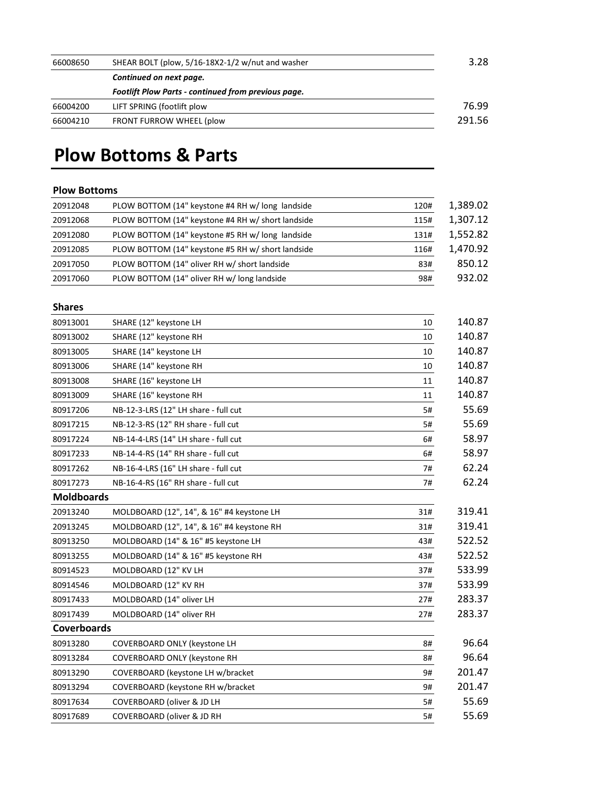| SHEAR BOLT (plow, 5/16-18X2-1/2 w/nut and washer           | 3.28   |
|------------------------------------------------------------|--------|
| Continued on next page.                                    |        |
| <b>Footlift Plow Parts - continued from previous page.</b> |        |
| LIFT SPRING (footlift plow                                 | 76.99  |
| FRONT FURROW WHEEL (plow                                   | 291.56 |
|                                                            |        |

# **Plow Bottoms & Parts**

### **Plow Bottoms**

| 20912048 | PLOW BOTTOM (14" keystone #4 RH w/ long landside  | 120# | 1,389.02 |
|----------|---------------------------------------------------|------|----------|
| 20912068 | PLOW BOTTOM (14" keystone #4 RH w/ short landside | 115# | 1,307.12 |
| 20912080 | PLOW BOTTOM (14" keystone #5 RH w/long landside   | 131# | 1,552.82 |
| 20912085 | PLOW BOTTOM (14" keystone #5 RH w/ short landside | 116# | 1,470.92 |
| 20917050 | PLOW BOTTOM (14" oliver RH w/ short landside      | 83#  | 850.12   |
| 20917060 | PLOW BOTTOM (14" oliver RH w/long landside        | 98#  | 932.02   |

## **Shares**

| 80913001           | SHARE (12" keystone LH                    | 10  | 140.87 |
|--------------------|-------------------------------------------|-----|--------|
| 80913002           | SHARE (12" keystone RH                    | 10  | 140.87 |
| 80913005           | SHARE (14" keystone LH                    | 10  | 140.87 |
| 80913006           | SHARE (14" keystone RH                    | 10  | 140.87 |
| 80913008           | SHARE (16" keystone LH                    | 11  | 140.87 |
| 80913009           | SHARE (16" keystone RH                    | 11  | 140.87 |
| 80917206           | NB-12-3-LRS (12" LH share - full cut      | 5#  | 55.69  |
| 80917215           | NB-12-3-RS (12" RH share - full cut       | 5#  | 55.69  |
| 80917224           | NB-14-4-LRS (14" LH share - full cut      | 6#  | 58.97  |
| 80917233           | NB-14-4-RS (14" RH share - full cut       | 6#  | 58.97  |
| 80917262           | NB-16-4-LRS (16" LH share - full cut      | 7#  | 62.24  |
| 80917273           | NB-16-4-RS (16" RH share - full cut       | 7#  | 62.24  |
| <b>Moldboards</b>  |                                           |     |        |
| 20913240           | MOLDBOARD (12", 14", & 16" #4 keystone LH | 31# | 319.41 |
| 20913245           | MOLDBOARD (12", 14", & 16" #4 keystone RH | 31# | 319.41 |
| 80913250           | MOLDBOARD (14" & 16" #5 keystone LH       | 43# | 522.52 |
| 80913255           | MOLDBOARD (14" & 16" #5 keystone RH       | 43# | 522.52 |
| 80914523           | MOLDBOARD (12" KV LH                      | 37# | 533.99 |
| 80914546           | MOLDBOARD (12" KV RH                      | 37# | 533.99 |
| 80917433           | MOLDBOARD (14" oliver LH                  | 27# | 283.37 |
| 80917439           | MOLDBOARD (14" oliver RH                  | 27# | 283.37 |
| <b>Coverboards</b> |                                           |     |        |
| 80913280           | <b>COVERBOARD ONLY (keystone LH</b>       | 8#  | 96.64  |
| 80913284           | COVERBOARD ONLY (keystone RH              | 8#  | 96.64  |
| 80913290           | COVERBOARD (keystone LH w/bracket         | 9#  | 201.47 |
| 80913294           | COVERBOARD (keystone RH w/bracket         | 9#  | 201.47 |
| 80917634           | <b>COVERBOARD (oliver &amp; JD LH</b>     | 5#  | 55.69  |
| 80917689           | <b>COVERBOARD (oliver &amp; JD RH</b>     | 5#  | 55.69  |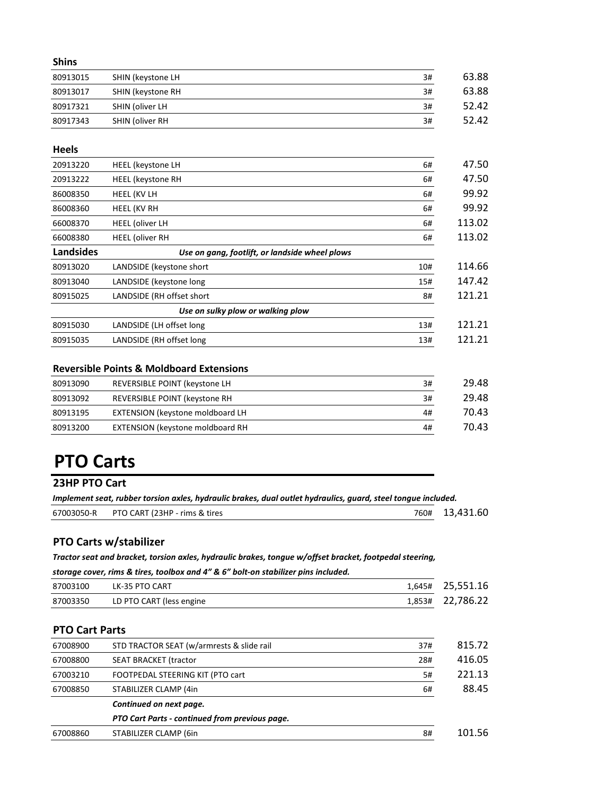| <b>Shins</b> |                   |    |       |
|--------------|-------------------|----|-------|
| 80913015     | SHIN (keystone LH | 3# | 63.88 |
| 80913017     | SHIN (keystone RH | 3# | 63.88 |
| 80917321     | SHIN (oliver LH   | 3# | 52.42 |
| 80917343     | SHIN (oliver RH   | 3# | 52.42 |

#### **Heels**

| 20913220  | <b>HEEL</b> (keystone LH                       | 6#  | 47.50  |
|-----------|------------------------------------------------|-----|--------|
| 20913222  | <b>HEEL</b> (keystone RH                       | 6#  | 47.50  |
| 86008350  | <b>HEEL (KV LH</b>                             | 6#  | 99.92  |
| 86008360  | HEEL (KV RH                                    | 6#  | 99.92  |
| 66008370  | <b>HEEL</b> (oliver LH                         | 6#  | 113.02 |
| 66008380  | <b>HEEL</b> (oliver RH                         | 6#  | 113.02 |
| Landsides | Use on gang, footlift, or landside wheel plows |     |        |
| 80913020  | LANDSIDE (keystone short                       | 10# | 114.66 |
| 80913040  | LANDSIDE (keystone long                        | 15# | 147.42 |
| 80915025  | LANDSIDE (RH offset short                      | 8#  | 121.21 |
|           | Use on sulky plow or walking plow              |     |        |
| 80915030  | LANDSIDE (LH offset long                       | 13# | 121.21 |
| 80915035  | LANDSIDE (RH offset long                       | 13# | 121.21 |

## **Reversible Points & Moldboard Extensions**

| REVERSIBLE POINT (keystone LH<br>80913090           | 3# |
|-----------------------------------------------------|----|
| REVERSIBLE POINT (keystone RH<br>80913092           | 3# |
| <b>EXTENSION (keystone moldboard LH</b><br>80913195 | 4# |
| EXTENSION (keystone moldboard RH<br>80913200        | 4# |

# **PTO Carts**

### **23HP PTO Cart**

| Implement seat, rubber torsion axles, hydraulic brakes, dual outlet hydraulics, quard, steel tonque included. |                               |  |                |
|---------------------------------------------------------------------------------------------------------------|-------------------------------|--|----------------|
| 67003050-R                                                                                                    | PTO CART (23HP - rims & tires |  | 760# 13.431.60 |

## **PTO Carts w/stabilizer**

*Tractor seat and bracket, torsion axles, hydraulic brakes, tongue w/offset bracket, footpedal steering,* 

*storage cover, rims & tires, toolbox and 4" & 6" bolt-on stabilizer pins included.*

| 87003100 | LK-35 PTO CART           | 1,645# 25,551.16 |
|----------|--------------------------|------------------|
| 87003350 | LD PTO CART (less engine | 1,853# 22,786.22 |
|          |                          |                  |

#### **PTO Cart Parts**

| 67008900 | STD TRACTOR SEAT (w/armrests & slide rail      | 37# | 815.72 |
|----------|------------------------------------------------|-----|--------|
| 67008800 | <b>SEAT BRACKET (tractor</b>                   | 28# | 416.05 |
| 67003210 | FOOTPEDAL STEERING KIT (PTO cart               | 5#  | 221.13 |
| 67008850 | STABILIZER CLAMP (4in                          | 6#  | 88.45  |
|          | Continued on next page.                        |     |        |
|          | PTO Cart Parts - continued from previous page. |     |        |
| 67008860 | STABILIZER CLAMP (6in                          | 8#  | 101.56 |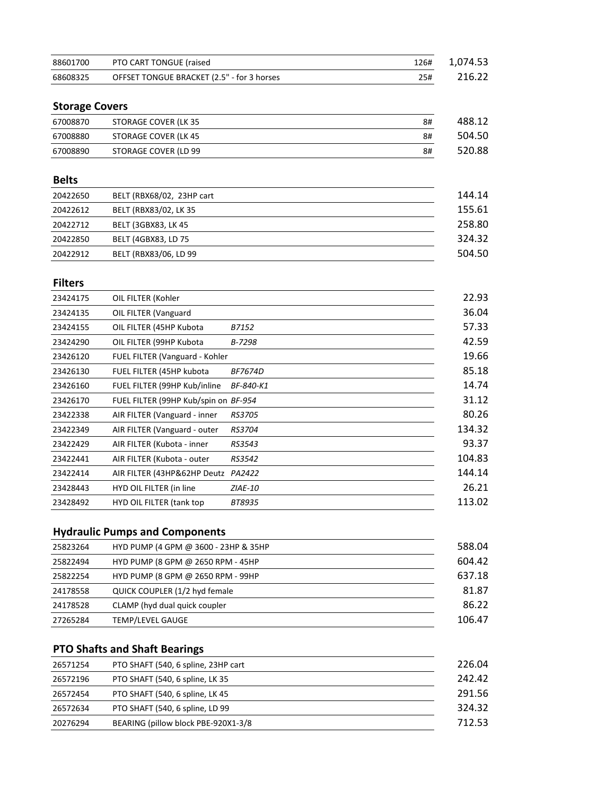| 88601700 | PTO CART TONGUE (raised                    | 126# | 1.074.53 |
|----------|--------------------------------------------|------|----------|
| 68608325 | OFFSET TONGUE BRACKET (2.5" - for 3 horses | 25#  | 216.22   |

## **Storage Covers**

| 67008870 | STORAGE COVER (LK 35 | 8# | 488.12 |
|----------|----------------------|----|--------|
| 67008880 | STORAGE COVER (LK 45 | 8# | 504.50 |
| 67008890 | STORAGE COVER (LD 99 | 8# | 520.88 |

## **Belts**

| 20422650 | BELT (RBX68/02, 23HP cart | 144.14 |
|----------|---------------------------|--------|
| 20422612 | BELT (RBX83/02, LK 35     | 155.61 |
| 20422712 | BELT (3GBX83, LK 45)      | 258.80 |
| 20422850 | BELT (4GBX83, LD 75       | 324.32 |
| 20422912 | BELT (RBX83/06, LD 99     | 504.50 |

## **Filters**

| 23424175 | OIL FILTER (Kohler                   |                | 22.93  |
|----------|--------------------------------------|----------------|--------|
| 23424135 | OIL FILTER (Vanguard                 |                | 36.04  |
| 23424155 | OIL FILTER (45HP Kubota              | B7152          | 57.33  |
| 23424290 | OIL FILTER (99HP Kubota              | B-7298         | 42.59  |
| 23426120 | FUEL FILTER (Vanguard - Kohler       |                | 19.66  |
| 23426130 | FUEL FILTER (45HP kubota             | <i>BF7674D</i> | 85.18  |
| 23426160 | FUEL FILTER (99HP Kub/inline         | BF-840-K1      | 14.74  |
| 23426170 | FUEL FILTER (99HP Kub/spin on BF-954 |                | 31.12  |
| 23422338 | AIR FILTER (Vanguard - inner         | <i>RS3705</i>  | 80.26  |
| 23422349 | AIR FILTER (Vanguard - outer         | <b>RS3704</b>  | 134.32 |
| 23422429 | AIR FILTER (Kubota - inner           | RS3543         | 93.37  |
| 23422441 | AIR FILTER (Kubota - outer           | RS3542         | 104.83 |
| 23422414 | AIR FILTER (43HP&62HP Deutz          | PA2422         | 144.14 |
| 23428443 | HYD OIL FILTER (in line              | <b>ZIAE-10</b> | 26.21  |
| 23428492 | <b>HYD OIL FILTER (tank top</b>      | BT8935         | 113.02 |
|          |                                      |                |        |

# **Hydraulic Pumps and Components**

| 25823264 | HYD PUMP (4 GPM @ 3600 - 23HP & 35HP | 588.04 |
|----------|--------------------------------------|--------|
| 25822494 | HYD PUMP (8 GPM @ 2650 RPM - 45HP    | 604.42 |
| 25822254 | HYD PUMP (8 GPM @ 2650 RPM - 99HP    | 637.18 |
| 24178558 | QUICK COUPLER (1/2 hyd female        | 81.87  |
| 24178528 | CLAMP (hyd dual quick coupler        | 86.22  |
| 27265284 | <b>TEMP/LEVEL GAUGE</b>              | 106.47 |

# **PTO Shafts and Shaft Bearings**

| 26571254 | PTO SHAFT (540, 6 spline, 23HP cart | 226.04 |
|----------|-------------------------------------|--------|
| 26572196 | PTO SHAFT (540, 6 spline, LK 35     | 242.42 |
| 26572454 | PTO SHAFT (540, 6 spline, LK 45)    | 291.56 |
| 26572634 | PTO SHAFT (540, 6 spline, LD 99     | 324.32 |
| 20276294 | BEARING (pillow block PBE-920X1-3/8 | 712.53 |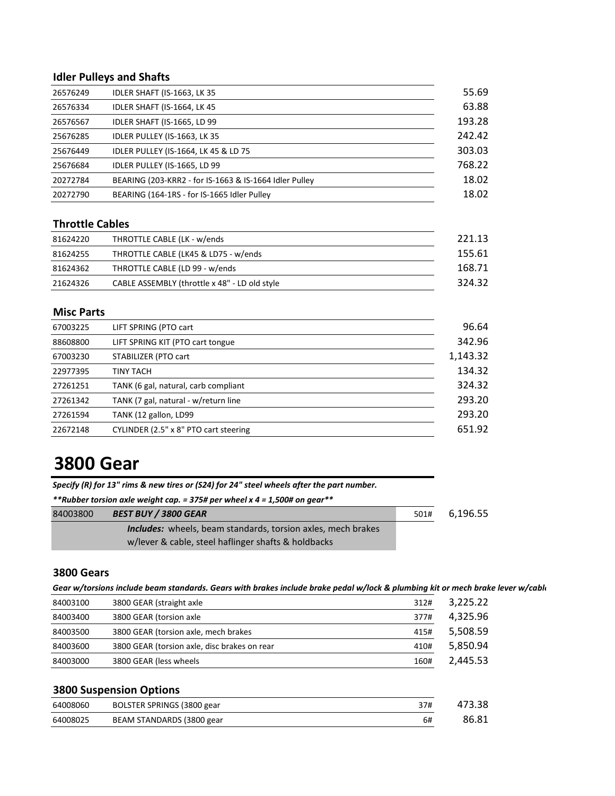## **Idler Pulleys and Shafts**

| 26576249 | IDLER SHAFT (IS-1663, LK 35                            | 55.69  |
|----------|--------------------------------------------------------|--------|
| 26576334 | IDLER SHAFT (IS-1664, LK 45)                           | 63.88  |
| 26576567 | IDLER SHAFT (IS-1665, LD 99                            | 193.28 |
| 25676285 | IDLER PULLEY (IS-1663, LK 35                           | 242.42 |
| 25676449 | IDLER PULLEY (IS-1664, LK 45 & LD 75                   | 303.03 |
| 25676684 | IDLER PULLEY (IS-1665, LD 99                           | 768.22 |
| 20272784 | BEARING (203-KRR2 - for IS-1663 & IS-1664 Idler Pulley | 18.02  |
| 20272790 | BEARING (164-1RS - for IS-1665 Idler Pulley            | 18.02  |
|          |                                                        |        |

## **Throttle Cables**

| 81624220 | THROTTLE CABLE (LK - w/ends                   | 221.13 |
|----------|-----------------------------------------------|--------|
| 81624255 | THROTTLE CABLE (LK45 & LD75 - w/ends)         | 155.61 |
| 81624362 | THROTTLE CABLE (LD 99 - w/ends                | 168.71 |
| 21624326 | CABLE ASSEMBLY (throttle x 48" - LD old style | 324.32 |

#### **Misc Parts**

| 67003225 | LIFT SPRING (PTO cart                 | 96.64    |
|----------|---------------------------------------|----------|
| 88608800 | LIFT SPRING KIT (PTO cart tongue      | 342.96   |
| 67003230 | STABILIZER (PTO cart                  | 1,143.32 |
| 22977395 | TINY TACH                             | 134.32   |
| 27261251 | TANK (6 gal, natural, carb compliant  | 324.32   |
| 27261342 | TANK (7 gal, natural - w/return line  | 293.20   |
| 27261594 | TANK (12 gallon, LD99                 | 293.20   |
| 22672148 | CYLINDER (2.5" x 8" PTO cart steering | 651.92   |

# **3800 Gear**

*Specify (R) for 13" rims & new tires or (S24) for 24" steel wheels after the part number.* 

*\*\*Rubber torsion axle weight cap. = 375# per wheel x 4 = 1,500# on gear\*\**

| 84003800 | <b>BEST BUY / 3800 GEAR</b>                                         | 501# | 6,196.55 |
|----------|---------------------------------------------------------------------|------|----------|
|          | <b>Includes:</b> wheels, beam standards, torsion axles, mech brakes |      |          |
|          | w/lever & cable, steel haflinger shafts & holdbacks                 |      |          |

#### **3800 Gears**

| Gear w/torsions include beam standards. Gears with brakes include brake pedal w/lock & plumbing kit or mech brake lever w/cable |  |  |  |
|---------------------------------------------------------------------------------------------------------------------------------|--|--|--|
|---------------------------------------------------------------------------------------------------------------------------------|--|--|--|

| 84003100 | 3800 GEAR (straight axle                     | 312# | 3.225.22 |
|----------|----------------------------------------------|------|----------|
| 84003400 | 3800 GEAR (torsion axle                      | 377# | 4.325.96 |
| 84003500 | 3800 GEAR (torsion axle, mech brakes         | 415# | 5.508.59 |
| 84003600 | 3800 GEAR (torsion axle, disc brakes on rear | 410# | 5.850.94 |
| 84003000 | 3800 GEAR (less wheels                       | 160# | 2.445.53 |

## **3800 Suspension Options**

| 64008060 | BOLSTER SPRINGS (3800 gear | 37# | 473.38 |
|----------|----------------------------|-----|--------|
| 64008025 | BEAM STANDARDS (3800 gear  | 6#  | 86.81  |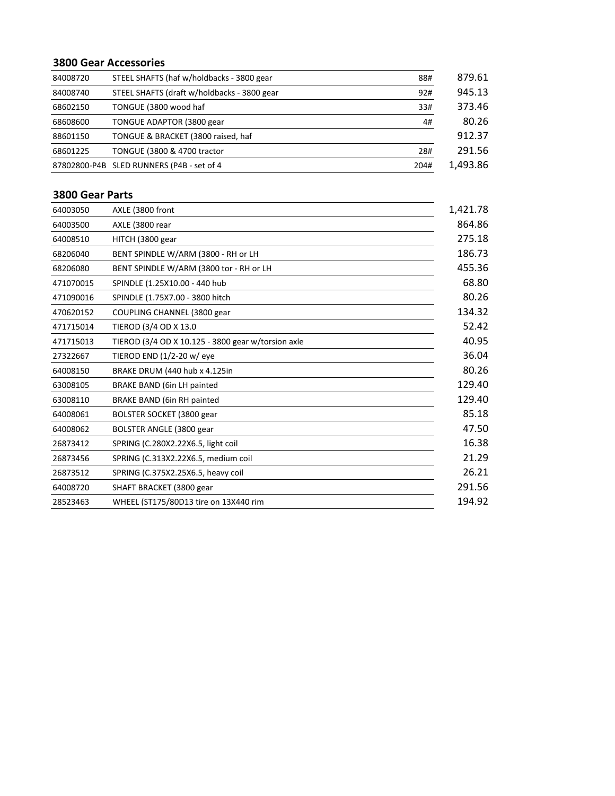#### **3800 Gear Accessories**

| 84008720 | STEEL SHAFTS (haf w/holdbacks - 3800 gear   | 88#  | 879.61   |
|----------|---------------------------------------------|------|----------|
| 84008740 | STEEL SHAFTS (draft w/holdbacks - 3800 gear | 92#  | 945.13   |
| 68602150 | TONGUE (3800 wood haf                       | 33#  | 373.46   |
| 68608600 | TONGUE ADAPTOR (3800 gear                   | 4#   | 80.26    |
| 88601150 | TONGUE & BRACKET (3800 raised, haf          |      | 912.37   |
| 68601225 | TONGUE (3800 & 4700 tractor                 | 28#  | 291.56   |
|          | 87802800-P4B SLED RUNNERS (P4B - set of 4   | 204# | 1,493.86 |

#### **3800 Gear Parts**

| 64003050  | AXLE (3800 front                                   | 1,421.78 |
|-----------|----------------------------------------------------|----------|
| 64003500  | AXLE (3800 rear                                    | 864.86   |
| 64008510  | HITCH (3800 gear                                   | 275.18   |
| 68206040  | BENT SPINDLE W/ARM (3800 - RH or LH                | 186.73   |
| 68206080  | BENT SPINDLE W/ARM (3800 tor - RH or LH            | 455.36   |
| 471070015 | SPINDLE (1.25X10.00 - 440 hub                      | 68.80    |
| 471090016 | SPINDLE (1.75X7.00 - 3800 hitch                    | 80.26    |
| 470620152 | COUPLING CHANNEL (3800 gear                        | 134.32   |
| 471715014 | TIEROD (3/4 OD X 13.0                              | 52.42    |
| 471715013 | TIEROD (3/4 OD X 10.125 - 3800 gear w/torsion axle | 40.95    |
| 27322667  | TIEROD END (1/2-20 w/ eye                          | 36.04    |
| 64008150  | BRAKE DRUM (440 hub x 4.125in                      | 80.26    |
| 63008105  | <b>BRAKE BAND (6in LH painted</b>                  | 129.40   |
| 63008110  | <b>BRAKE BAND (6in RH painted</b>                  | 129.40   |
| 64008061  | BOLSTER SOCKET (3800 gear                          | 85.18    |
| 64008062  | BOLSTER ANGLE (3800 gear                           | 47.50    |
| 26873412  | SPRING (C.280X2.22X6.5, light coil                 | 16.38    |
| 26873456  | SPRING (C.313X2.22X6.5, medium coil                | 21.29    |
| 26873512  | SPRING (C.375X2.25X6.5, heavy coil                 | 26.21    |
| 64008720  | SHAFT BRACKET (3800 gear                           | 291.56   |
| 28523463  | WHEEL (ST175/80D13 tire on 13X440 rim              | 194.92   |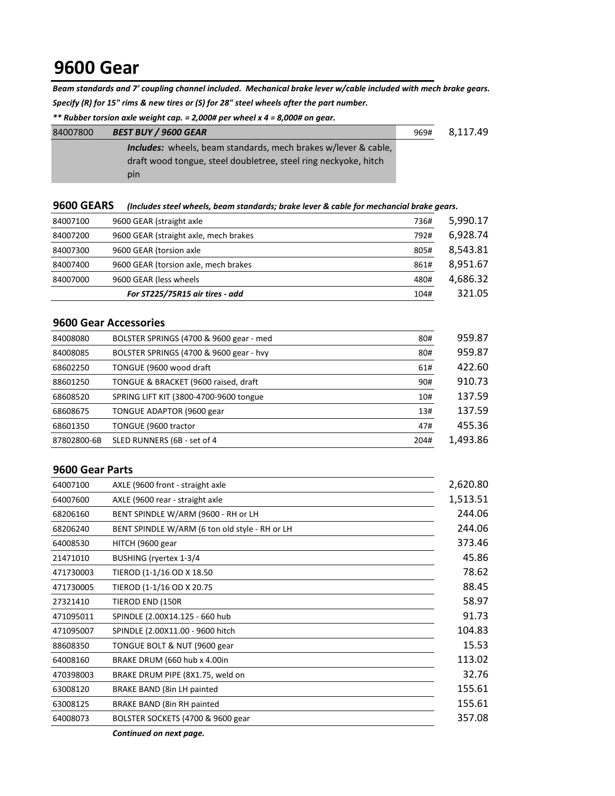# **9600 Gear**

*Beam standards and 7' coupling channel included. Mechanical brake lever w/cable included with mech brake gears. Specify (R) for 15" rims & new tires or (S) for 28" steel wheels after the part number.*

*\*\* Rubber torsion axle weight cap. = 2,000# per wheel x 4 = 8,000# on gear.*

| 84007800 | <b>BEST BUY / 9600 GEAR</b>                                           | 969# | 8.117.49 |
|----------|-----------------------------------------------------------------------|------|----------|
|          | <b>Includes:</b> wheels, beam standards, mech brakes w/lever & cable, |      |          |
|          | draft wood tongue, steel doubletree, steel ring neckyoke, hitch       |      |          |
|          | pin                                                                   |      |          |

|  | 9600 GEARS (Includes steel wheels, beam standards; brake lever & cable for mechancial brake gears. |
|--|----------------------------------------------------------------------------------------------------|
|--|----------------------------------------------------------------------------------------------------|

| 84007100 | 9600 GEAR (straight axle              | 736# | 5,990.17 |
|----------|---------------------------------------|------|----------|
| 84007200 | 9600 GEAR (straight axle, mech brakes | 792# | 6,928.74 |
| 84007300 | 9600 GEAR (torsion axle               | 805# | 8,543.81 |
| 84007400 | 9600 GEAR (torsion axle, mech brakes  | 861# | 8,951.67 |
| 84007000 | 9600 GEAR (less wheels                | 480# | 4,686.32 |
|          | For ST225/75R15 air tires - add       | 104# | 321.05   |

#### **9600 Gear Accessories**

| 84008080    | BOLSTER SPRINGS (4700 & 9600 gear - med | 80#  | 959.87   |
|-------------|-----------------------------------------|------|----------|
| 84008085    | BOLSTER SPRINGS (4700 & 9600 gear - hvy | 80#  | 959.87   |
| 68602250    | TONGUE (9600 wood draft                 | 61#  | 422.60   |
| 88601250    | TONGUE & BRACKET (9600 raised, draft    | 90#  | 910.73   |
| 68608520    | SPRING LIFT KIT (3800-4700-9600 tongue) | 10#  | 137.59   |
| 68608675    | TONGUE ADAPTOR (9600 gear               | 13#  | 137.59   |
| 68601350    | TONGUE (9600 tractor                    | 47#  | 455.36   |
| 87802800-6B | SLED RUNNERS (6B - set of 4             | 204# | 1,493.86 |

#### **9600 Gear Parts**

| AXLE (9600 front - straight axle               | 2,620.80 |
|------------------------------------------------|----------|
| AXLE (9600 rear - straight axle                | 1,513.51 |
| BENT SPINDLE W/ARM (9600 - RH or LH            | 244.06   |
| BENT SPINDLE W/ARM (6 ton old style - RH or LH | 244.06   |
| HITCH (9600 gear                               | 373.46   |
| BUSHING (ryertex 1-3/4                         | 45.86    |
| TIEROD (1-1/16 OD X 18.50)                     | 78.62    |
| TIEROD (1-1/16 OD X 20.75                      | 88.45    |
| TIEROD END (150R                               | 58.97    |
| SPINDLE (2.00X14.125 - 660 hub                 | 91.73    |
| SPINDLE (2.00X11.00 - 9600 hitch               | 104.83   |
| TONGUE BOLT & NUT (9600 gear                   | 15.53    |
| BRAKE DRUM (660 hub x 4.00in                   | 113.02   |
| BRAKE DRUM PIPE (8X1.75, weld on               | 32.76    |
| BRAKE BAND (8in LH painted                     | 155.61   |
| BRAKE BAND (8in RH painted                     | 155.61   |
| BOLSTER SOCKETS (4700 & 9600 gear              | 357.08   |
|                                                |          |

*Continued on next page.*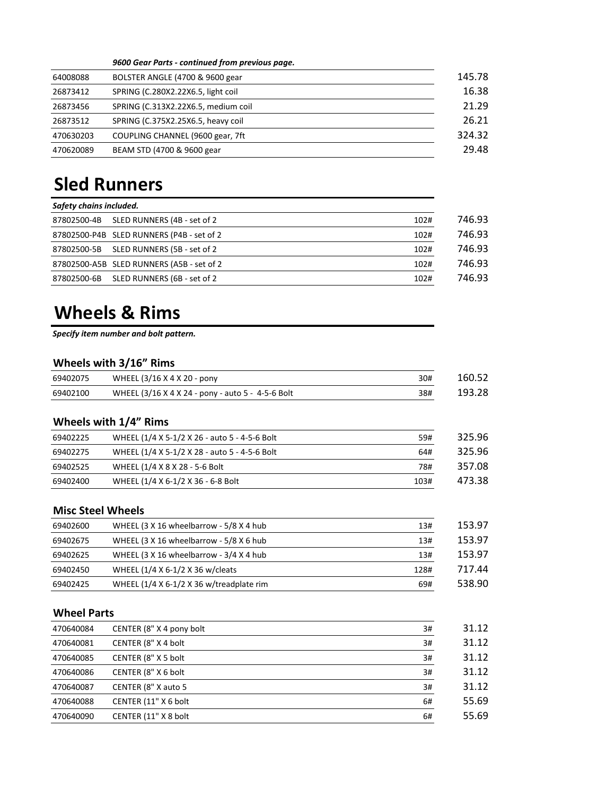#### *9600 Gear Parts - continued from previous page.*

| 64008088  | BOLSTER ANGLE (4700 & 9600 gear     | 145.78 |
|-----------|-------------------------------------|--------|
| 26873412  | SPRING (C.280X2.22X6.5, light coil  | 16.38  |
| 26873456  | SPRING (C.313X2.22X6.5, medium coil | 21.29  |
| 26873512  | SPRING (C.375X2.25X6.5, heavy coil  | 26.21  |
| 470630203 | COUPLING CHANNEL (9600 gear, 7ft    | 324.32 |
| 470620089 | BEAM STD (4700 & 9600 gear          | 29.48  |

# **Sled Runners**

| Safety chains included. |                                           |      |        |
|-------------------------|-------------------------------------------|------|--------|
| 87802500-4B             | SLED RUNNERS (4B - set of 2               | 102# | 746.93 |
|                         | 87802500-P4B SLED RUNNERS (P4B - set of 2 | 102# | 746.93 |
|                         | 87802500-5B SLED RUNNERS (5B - set of 2   | 102# | 746.93 |
|                         | 87802500-A5B SLED RUNNERS (A5B - set of 2 | 102# | 746.93 |
| 87802500-6B             | SLED RUNNERS (6B - set of 2               | 102# | 746.93 |

# **Wheels & Rims**

*Specify item number and bolt pattern.*

### **Wheels with 3/16" Rims**

| 69402075 | WHEEL (3/16 X 4 X 20 - pony                       | 30# | 160.52 |
|----------|---------------------------------------------------|-----|--------|
| 69402100 | WHEEL (3/16 X 4 X 24 - pony - auto 5 - 4-5-6 Bolt | 38# | 193.28 |

#### **Wheels with 1/4" Rims**

| 69402225 | WHEEL (1/4 X 5-1/2 X 26 - auto 5 - 4-5-6 Bolt | 59#  | 325.96 |
|----------|-----------------------------------------------|------|--------|
| 69402275 | WHEEL (1/4 X 5-1/2 X 28 - auto 5 - 4-5-6 Bolt | 64#  | 325.96 |
| 69402525 | WHEEL (1/4 X 8 X 28 - 5-6 Bolt                | 78#  | 357.08 |
| 69402400 | WHEEL (1/4 X 6-1/2 X 36 - 6-8 Bolt            | 103# | 473.38 |

#### **Misc Steel Wheels**

| 69402600 | WHEEL (3 X 16 wheelbarrow - 5/8 X 4 hub  | 13#  | 153.97 |
|----------|------------------------------------------|------|--------|
| 69402675 | WHEEL (3 X 16 wheelbarrow - 5/8 X 6 hub  | 13#  | 153.97 |
| 69402625 | WHEEL (3 X 16 wheelbarrow - 3/4 X 4 hub  | 13#  | 153.97 |
| 69402450 | WHEEL (1/4 X 6-1/2 X 36 w/cleats         | 128# | 717.44 |
| 69402425 | WHEEL (1/4 X 6-1/2 X 36 w/treadplate rim | 69#  | 538.90 |

#### **Wheel Parts**

| 470640084 | CENTER (8" X 4 pony bolt | 3# | 31.12 |
|-----------|--------------------------|----|-------|
| 470640081 | CENTER (8" X 4 bolt      | 3# | 31.12 |
| 470640085 | CENTER (8" X 5 bolt      | 3# | 31.12 |
| 470640086 | CENTER (8" X 6 bolt      | 3# | 31.12 |
| 470640087 | CENTER (8" X auto 5      | 3# | 31.12 |
| 470640088 | CENTER (11" X 6 bolt     | 6# | 55.69 |
| 470640090 | CENTER (11" X 8 bolt     | 6# | 55.69 |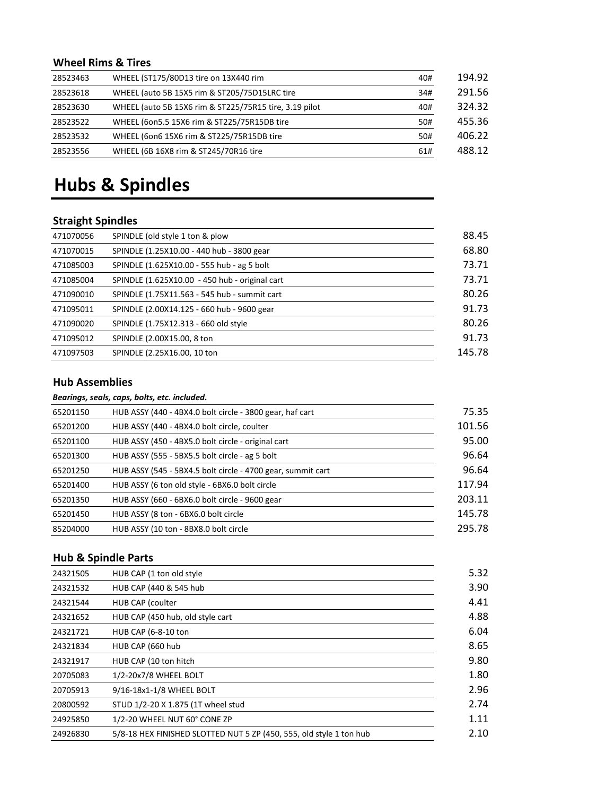## **Wheel Rims & Tires**

| 28523463 | WHEEL (ST175/80D13 tire on 13X440 rim                  | 40# | 194.92 |
|----------|--------------------------------------------------------|-----|--------|
| 28523618 | WHEEL (auto 5B 15X5 rim & ST205/75D15LRC tire          | 34# | 291.56 |
| 28523630 | WHEEL (auto 5B 15X6 rim & ST225/75R15 tire, 3.19 pilot | 40# | 324.32 |
| 28523522 | WHEEL (60n5.5 15X6 rim & ST225/75R15DB tire            | 50# | 455.36 |
| 28523532 | WHEEL (60n6 15X6 rim & ST225/75R15DB tire              | 50# | 406.22 |
| 28523556 | WHEEL (6B 16X8 rim & ST245/70R16 tire                  | 61# | 488.12 |

# **Hubs & Spindles**

# **Straight Spindles**

| 471070056 | SPINDLE (old style 1 ton & plow                | 88.45  |
|-----------|------------------------------------------------|--------|
| 471070015 | SPINDLE (1.25X10.00 - 440 hub - 3800 gear      | 68.80  |
| 471085003 | SPINDLE (1.625X10.00 - 555 hub - ag 5 bolt     | 73.71  |
| 471085004 | SPINDLE (1.625X10.00 - 450 hub - original cart | 73.71  |
| 471090010 | SPINDLE (1.75X11.563 - 545 hub - summit cart   | 80.26  |
| 471095011 | SPINDLE (2.00X14.125 - 660 hub - 9600 gear     | 91.73  |
| 471090020 | SPINDLE (1.75X12.313 - 660 old style           | 80.26  |
| 471095012 | SPINDLE (2.00X15.00, 8 ton                     | 91.73  |
| 471097503 | SPINDLE (2.25X16.00, 10 ton                    | 145.78 |

#### **Hub Assemblies**

|          | Bearings, seals, caps, bolts, etc. included.                |        |
|----------|-------------------------------------------------------------|--------|
| 65201150 | HUB ASSY (440 - 4BX4.0 bolt circle - 3800 gear, haf cart    | 75.35  |
| 65201200 | HUB ASSY (440 - 4BX4.0 bolt circle, coulter                 | 101.56 |
| 65201100 | HUB ASSY (450 - 4BX5.0 bolt circle - original cart          | 95.00  |
| 65201300 | HUB ASSY (555 - 5BX5.5 bolt circle - ag 5 bolt              | 96.64  |
| 65201250 | HUB ASSY (545 - 5BX4.5 bolt circle - 4700 gear, summit cart | 96.64  |
| 65201400 | HUB ASSY (6 ton old style - 6BX6.0 bolt circle              | 117.94 |
| 65201350 | HUB ASSY (660 - 6BX6.0 bolt circle - 9600 gear              | 203.11 |
| 65201450 | HUB ASSY (8 ton - 6BX6.0 bolt circle                        | 145.78 |
| 85204000 | HUB ASSY (10 ton - 8BX8.0 bolt circle                       | 295.78 |

## **Hub & Spindle Parts**

| 24321505 | HUB CAP (1 ton old style)                                           | 5.32 |
|----------|---------------------------------------------------------------------|------|
| 24321532 | HUB CAP (440 & 545 hub)                                             | 3.90 |
| 24321544 | HUB CAP (coulter                                                    | 4.41 |
| 24321652 | HUB CAP (450 hub, old style cart                                    | 4.88 |
| 24321721 | HUB CAP (6-8-10 ton                                                 | 6.04 |
| 24321834 | HUB CAP (660 hub                                                    | 8.65 |
| 24321917 | HUB CAP (10 ton hitch                                               | 9.80 |
| 20705083 | 1/2-20x7/8 WHEEL BOLT                                               | 1.80 |
| 20705913 | 9/16-18x1-1/8 WHEEL BOLT                                            | 2.96 |
| 20800592 | STUD 1/2-20 X 1.875 (1T wheel stud                                  | 2.74 |
| 24925850 | 1/2-20 WHEEL NUT 60° CONE ZP                                        | 1.11 |
| 24926830 | 5/8-18 HEX FINISHED SLOTTED NUT 5 ZP (450, 555, old style 1 ton hub | 2.10 |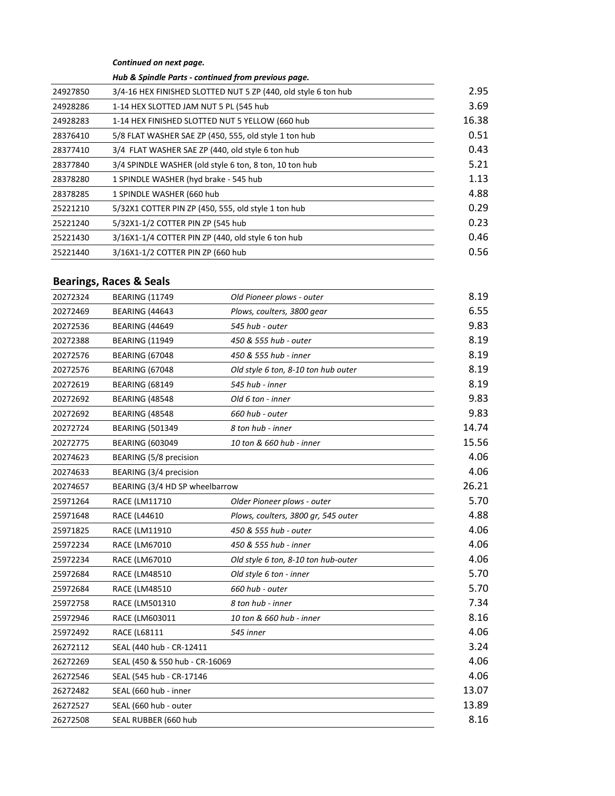*Continued on next page.*

*Hub & Spindle Parts - continued from previous page.*

| 24927850 | 3/4-16 HEX FINISHED SLOTTED NUT 5 ZP (440, old style 6 ton hub | 2.95  |
|----------|----------------------------------------------------------------|-------|
| 24928286 | 1-14 HEX SLOTTED JAM NUT 5 PL (545 hub                         | 3.69  |
| 24928283 | 1-14 HEX FINISHED SLOTTED NUT 5 YELLOW (660 hub                | 16.38 |
| 28376410 | 5/8 FLAT WASHER SAE ZP (450, 555, old style 1 ton hub          | 0.51  |
| 28377410 | 3/4 FLAT WASHER SAE ZP (440, old style 6 ton hub               | 0.43  |
| 28377840 | 3/4 SPINDLE WASHER (old style 6 ton, 8 ton, 10 ton hub         | 5.21  |
| 28378280 | 1 SPINDLE WASHER (hyd brake - 545 hub                          | 1.13  |
| 28378285 | 1 SPINDLE WASHER (660 hub                                      | 4.88  |
| 25221210 | 5/32X1 COTTER PIN ZP (450, 555, old style 1 ton hub            | 0.29  |
| 25221240 | 5/32X1-1/2 COTTER PIN ZP (545 hub                              | 0.23  |
| 25221430 | 3/16X1-1/4 COTTER PIN ZP (440, old style 6 ton hub             | 0.46  |
| 25221440 | 3/16X1-1/2 COTTER PIN ZP (660 hub                              | 0.56  |
|          |                                                                |       |

# **Bearings, Races & Seals**

| 20272324 | <b>BEARING (11749</b>          | Old Pioneer plows - outer           | 8.19  |
|----------|--------------------------------|-------------------------------------|-------|
| 20272469 | <b>BEARING (44643</b>          | Plows, coulters, 3800 gear          | 6.55  |
| 20272536 | <b>BEARING (44649</b>          | 545 hub - outer                     | 9.83  |
| 20272388 | <b>BEARING (11949</b>          | 450 & 555 hub - outer               | 8.19  |
| 20272576 | <b>BEARING (67048</b>          | 450 & 555 hub - inner               | 8.19  |
| 20272576 | <b>BEARING (67048</b>          | Old style 6 ton, 8-10 ton hub outer | 8.19  |
| 20272619 | <b>BEARING (68149</b>          | 545 hub - inner                     | 8.19  |
| 20272692 | <b>BEARING (48548</b>          | Old 6 ton - inner                   | 9.83  |
| 20272692 | <b>BEARING (48548)</b>         | 660 hub - outer                     | 9.83  |
| 20272724 | <b>BEARING (501349</b>         | 8 ton hub - inner                   | 14.74 |
| 20272775 | <b>BEARING (603049</b>         | 10 ton & 660 hub - inner            | 15.56 |
| 20274623 | BEARING (5/8 precision         |                                     | 4.06  |
| 20274633 | BEARING (3/4 precision         |                                     | 4.06  |
| 20274657 | BEARING (3/4 HD SP wheelbarrow |                                     | 26.21 |
| 25971264 | RACE (LM11710                  | Older Pioneer plows - outer         | 5.70  |
| 25971648 | RACE (L44610                   | Plows, coulters, 3800 gr, 545 outer | 4.88  |
| 25971825 | RACE (LM11910                  | 450 & 555 hub - outer               | 4.06  |
| 25972234 | RACE (LM67010                  | 450 & 555 hub - inner               | 4.06  |
| 25972234 | <b>RACE (LM67010</b>           | Old style 6 ton, 8-10 ton hub-outer | 4.06  |
| 25972684 | <b>RACE (LM48510</b>           | Old style 6 ton - inner             | 5.70  |
| 25972684 | <b>RACE (LM48510</b>           | 660 hub - outer                     | 5.70  |
| 25972758 | RACE (LM501310                 | 8 ton hub - inner                   | 7.34  |
| 25972946 | RACE (LM603011                 | 10 ton & 660 hub - inner            | 8.16  |
| 25972492 | RACE (L68111                   | 545 inner                           | 4.06  |
| 26272112 | SEAL (440 hub - CR-12411       |                                     | 3.24  |
| 26272269 | SEAL (450 & 550 hub - CR-16069 |                                     | 4.06  |
| 26272546 | SEAL (545 hub - CR-17146       |                                     | 4.06  |
| 26272482 | SEAL (660 hub - inner          |                                     | 13.07 |
| 26272527 | SEAL (660 hub - outer          |                                     | 13.89 |
| 26272508 | SEAL RUBBER (660 hub           |                                     | 8.16  |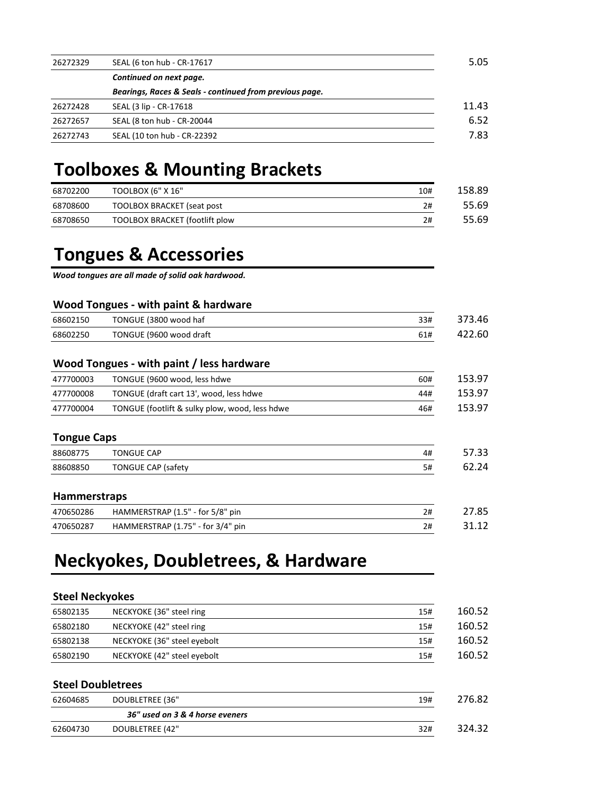| 26272329 | SEAL (6 ton hub - CR-17617                              | 5.05  |
|----------|---------------------------------------------------------|-------|
|          | Continued on next page.                                 |       |
|          | Bearings, Races & Seals - continued from previous page. |       |
| 26272428 | SEAL (3 lip - CR-17618                                  | 11.43 |
| 26272657 | SEAL (8 ton hub - CR-20044                              | 6.52  |
| 26272743 | SEAL (10 ton hub - CR-22392                             | 7.83  |

# **Toolboxes & Mounting Brackets**

| 68702200 | TOOLBOX (6" X 16"              | 10# | 158.89 |
|----------|--------------------------------|-----|--------|
| 68708600 | TOOLBOX BRACKET (seat post     | 2#  | 55.69  |
| 68708650 | TOOLBOX BRACKET (footlift plow | 2#  | 55.69  |

# **Tongues & Accessories**

*Wood tongues are all made of solid oak hardwood.* 

#### **Wood Tongues - with paint & hardware**

| 68602150 | TONGUE (3800 wood haf   | 33# | 373.46 |
|----------|-------------------------|-----|--------|
| 68602250 | TONGUE (9600 wood draft | 61# | 422.60 |

#### **Wood Tongues - with paint / less hardware**

| 477700003 | TONGUE (9600 wood, less hdwe                   | 60# | 153.97 |
|-----------|------------------------------------------------|-----|--------|
| 477700008 | TONGUE (draft cart 13', wood, less hdwe        | 44# | 153.97 |
| 477700004 | TONGUE (footlift & sulky plow, wood, less hdwe | 46# | 153.97 |

#### **Tongue Caps**

| 88608775 | <b>TONGUE CAP</b>         | 4# | 57.33 |
|----------|---------------------------|----|-------|
| 88608850 | <b>TONGUE CAP (safety</b> | 5# | 62.24 |

#### **Hammerstraps**

| 470650286 | HAMMERSTRAP (1.5" - for 5/8" pin  | 27.85 |
|-----------|-----------------------------------|-------|
| 470650287 | HAMMERSTRAP (1.75" - for 3/4" pin | 31.12 |

# **Neckyokes, Doubletrees, & Hardware**

#### **Steel Neckyokes**

| 65802135 | NECKYOKE (36" steel ring    | 15# |
|----------|-----------------------------|-----|
| 65802180 | NECKYOKE (42" steel ring    | 15# |
| 65802138 | NECKYOKE (36" steel eyebolt | 15# |
| 65802190 | NECKYOKE (42" steel eyebolt | 15# |

#### **Steel Doubletrees**

| 62604685 | DOUBLETREE (36"                 | 19# | 276.82 |
|----------|---------------------------------|-----|--------|
|          | 36" used on 3 & 4 horse eveners |     |        |
| 62604730 | DOUBLETREE (42"                 | 32# | 324.32 |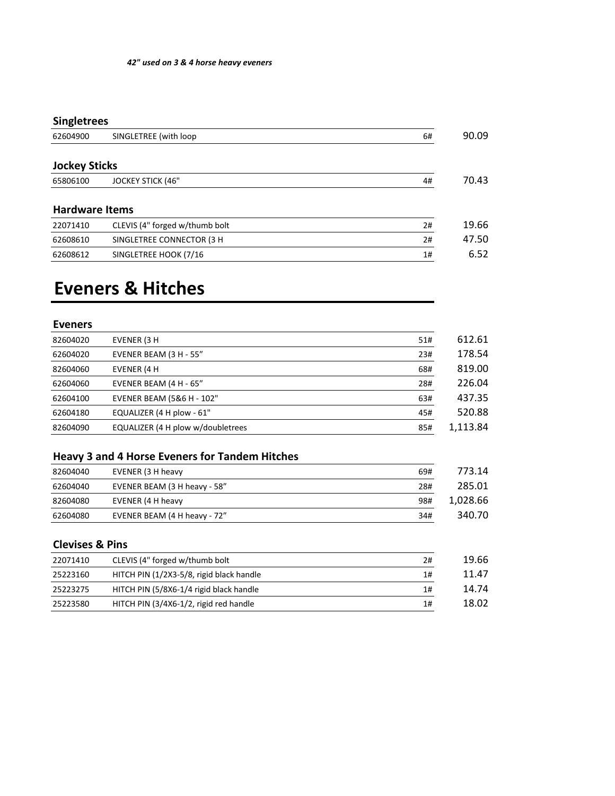# **Singletrees**

| 62604900              | SINGLETREE (with loop          | 6# | 90.09 |
|-----------------------|--------------------------------|----|-------|
| <b>Jockey Sticks</b>  |                                |    |       |
| 65806100              | <b>JOCKEY STICK (46"</b>       | 4# | 70.43 |
| <b>Hardware Items</b> |                                |    |       |
| 22071410              | CLEVIS (4" forged w/thumb bolt | 2# | 19.66 |
| 62608610              | SINGLETREE CONNECTOR (3 H      | 2# | 47.50 |
| 62608612              | SINGLETREE HOOK (7/16          | 1# | 6.52  |

# **Eveners & Hitches**

### **Eveners**

| 82604020 | EVENER (3 H                       | 51# | 612.61   |
|----------|-----------------------------------|-----|----------|
| 62604020 | EVENER BEAM (3 H - 55"            | 23# | 178.54   |
| 82604060 | EVENER (4 H                       | 68# | 819.00   |
| 62604060 | EVENER BEAM (4 H - 65"            | 28# | 226.04   |
| 62604100 | EVENER BEAM (5&6 H - 102"         | 63# | 437.35   |
| 62604180 | EQUALIZER (4 H plow - 61"         | 45# | 520.88   |
| 82604090 | EQUALIZER (4 H plow w/doubletrees | 85# | 1,113.84 |
|          |                                   |     |          |

## **Heavy 3 and 4 Horse Eveners for Tandem Hitches**

| 82604040 | EVENER (3 H heavy            | 69# | 773.14   |
|----------|------------------------------|-----|----------|
| 62604040 | EVENER BEAM (3 H heavy - 58" | 28# | 285.01   |
| 82604080 | EVENER (4 H heavy            | 98# | 1,028.66 |
| 62604080 | EVENER BEAM (4 H heavy - 72" | 34# | 340.70   |

## **Clevises & Pins**

| 22071410 | CLEVIS (4" forged w/thumb bolt           | 2# | 19.66 |
|----------|------------------------------------------|----|-------|
| 25223160 | HITCH PIN (1/2X3-5/8, rigid black handle | 1# | 11.47 |
| 25223275 | HITCH PIN (5/8X6-1/4 rigid black handle  | 1# | 14.74 |
| 25223580 | HITCH PIN (3/4X6-1/2, rigid red handle   | 1# | 18.02 |